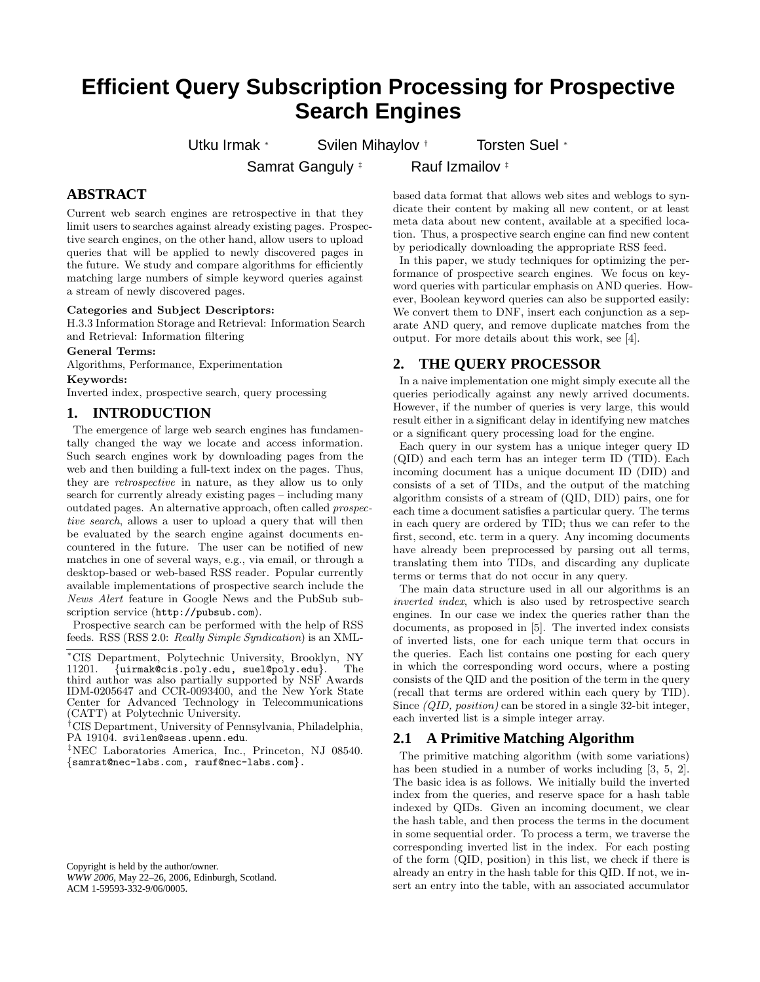# **Efficient Query Subscription Processing for Prospective Search Engines**

Utku Irmak ∗ Svilen Mihaylov † Torsten Suel ∗

Samrat Ganguly <sup>‡</sup> Rauf Izmailov <sup>‡</sup>

## **ABSTRACT**

Current web search engines are retrospective in that they limit users to searches against already existing pages. Prospective search engines, on the other hand, allow users to upload queries that will be applied to newly discovered pages in the future. We study and compare algorithms for efficiently matching large numbers of simple keyword queries against a stream of newly discovered pages.

#### Categories and Subject Descriptors:

H.3.3 Information Storage and Retrieval: Information Search and Retrieval: Information filtering

#### General Terms:

Algorithms, Performance, Experimentation

#### Keywords:

Inverted index, prospective search, query processing

## **1. INTRODUCTION**

The emergence of large web search engines has fundamentally changed the way we locate and access information. Such search engines work by downloading pages from the web and then building a full-text index on the pages. Thus, they are retrospective in nature, as they allow us to only search for currently already existing pages – including many outdated pages. An alternative approach, often called prospective search, allows a user to upload a query that will then be evaluated by the search engine against documents encountered in the future. The user can be notified of new matches in one of several ways, e.g., via email, or through a desktop-based or web-based RSS reader. Popular currently available implementations of prospective search include the News Alert feature in Google News and the PubSub subscription service (http://pubsub.com).

Prospective search can be performed with the help of RSS feeds. RSS (RSS 2.0: Really Simple Syndication) is an XML-

†CIS Department, University of Pennsylvania, Philadelphia, PA 19104. svilen@seas.upenn.edu.

‡NEC Laboratories America, Inc., Princeton, NJ 08540. {samrat@nec-labs.com, rauf@nec-labs.com}.

Copyright is held by the author/owner. *WWW 2006,* May 22–26, 2006, Edinburgh, Scotland. ACM 1-59593-332-9/06/0005.

based data format that allows web sites and weblogs to syndicate their content by making all new content, or at least meta data about new content, available at a specified location. Thus, a prospective search engine can find new content by periodically downloading the appropriate RSS feed.

In this paper, we study techniques for optimizing the performance of prospective search engines. We focus on keyword queries with particular emphasis on AND queries. However, Boolean keyword queries can also be supported easily: We convert them to DNF, insert each conjunction as a separate AND query, and remove duplicate matches from the output. For more details about this work, see [4].

## **2. THE QUERY PROCESSOR**

In a naive implementation one might simply execute all the queries periodically against any newly arrived documents. However, if the number of queries is very large, this would result either in a significant delay in identifying new matches or a significant query processing load for the engine.

Each query in our system has a unique integer query ID (QID) and each term has an integer term ID (TID). Each incoming document has a unique document ID (DID) and consists of a set of TIDs, and the output of the matching algorithm consists of a stream of (QID, DID) pairs, one for each time a document satisfies a particular query. The terms in each query are ordered by TID; thus we can refer to the first, second, etc. term in a query. Any incoming documents have already been preprocessed by parsing out all terms, translating them into TIDs, and discarding any duplicate terms or terms that do not occur in any query.

The main data structure used in all our algorithms is an inverted index, which is also used by retrospective search engines. In our case we index the queries rather than the documents, as proposed in [5]. The inverted index consists of inverted lists, one for each unique term that occurs in the queries. Each list contains one posting for each query in which the corresponding word occurs, where a posting consists of the QID and the position of the term in the query (recall that terms are ordered within each query by TID). Since (QID, position) can be stored in a single 32-bit integer, each inverted list is a simple integer array.

#### **2.1 A Primitive Matching Algorithm**

The primitive matching algorithm (with some variations) has been studied in a number of works including [3, 5, 2]. The basic idea is as follows. We initially build the inverted index from the queries, and reserve space for a hash table indexed by QIDs. Given an incoming document, we clear the hash table, and then process the terms in the document in some sequential order. To process a term, we traverse the corresponding inverted list in the index. For each posting of the form (QID, position) in this list, we check if there is already an entry in the hash table for this QID. If not, we insert an entry into the table, with an associated accumulator

<sup>∗</sup>CIS Department, Polytechnic University, Brooklyn, NY  $\{$ uirmak@cis.poly.edu, suel@poly.edu}. third author was also partially supported by NSF Awards IDM-0205647 and CCR-0093400, and the New York State Center for Advanced Technology in Telecommunications (CATT) at Polytechnic University.